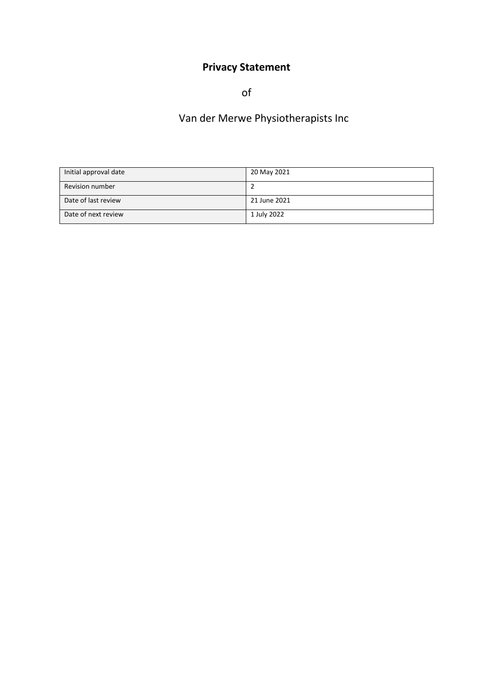# **Privacy Statement**

of

# Van der Merwe Physiotherapists Inc

| Initial approval date | 20 May 2021  |
|-----------------------|--------------|
| Revision number       |              |
| Date of last review   | 21 June 2021 |
| Date of next review   | 1 July 2022  |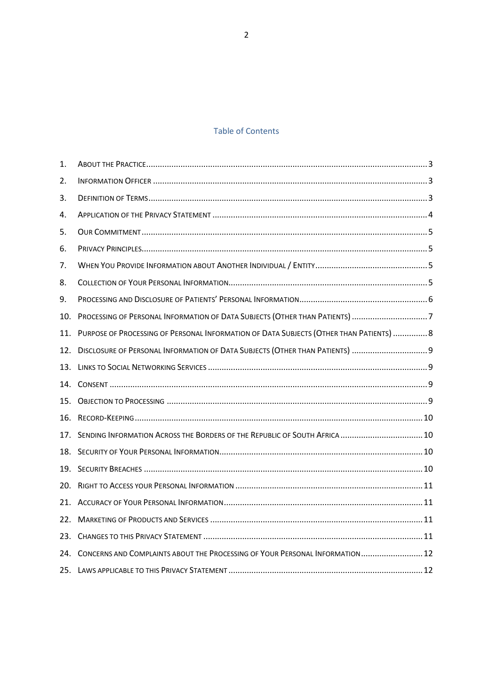# Table of Contents

| 1.  |                                                                                         |
|-----|-----------------------------------------------------------------------------------------|
| 2.  |                                                                                         |
| 3.  |                                                                                         |
| 4.  |                                                                                         |
| 5.  |                                                                                         |
| 6.  |                                                                                         |
| 7.  |                                                                                         |
| 8.  |                                                                                         |
| 9.  |                                                                                         |
| 10. | PROCESSING OF PERSONAL INFORMATION OF DATA SUBJECTS (OTHER THAN PATIENTS) 7             |
| 11. | PURPOSE OF PROCESSING OF PERSONAL INFORMATION OF DATA SUBJECTS (OTHER THAN PATIENTS)  8 |
| 12. | DISCLOSURE OF PERSONAL INFORMATION OF DATA SUBJECTS (OTHER THAN PATIENTS)  9            |
| 13. |                                                                                         |
| 14. |                                                                                         |
| 15. |                                                                                         |
| 16. |                                                                                         |
| 17. | SENDING INFORMATION ACROSS THE BORDERS OF THE REPUBLIC OF SOUTH AFRICA  10              |
| 18. |                                                                                         |
| 19. |                                                                                         |
| 20. |                                                                                         |
| 21. |                                                                                         |
| 22. |                                                                                         |
| 23. |                                                                                         |
| 24. | CONCERNS AND COMPLAINTS ABOUT THE PROCESSING OF YOUR PERSONAL INFORMATION 12            |
|     |                                                                                         |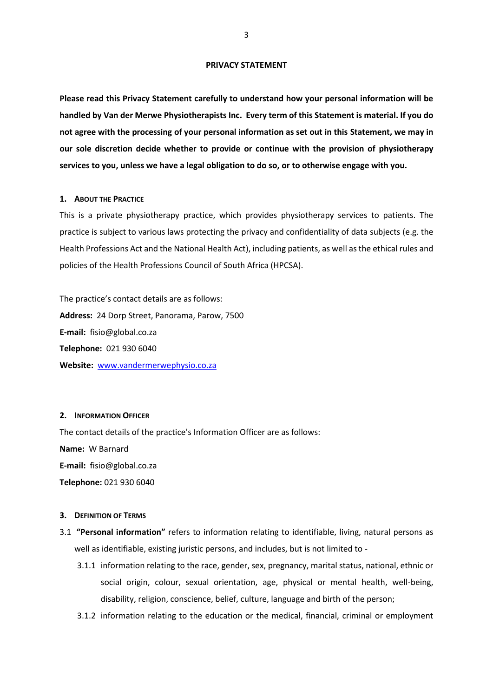#### **PRIVACY STATEMENT**

**Please read this Privacy Statement carefully to understand how your personal information will be handled by Van der Merwe Physiotherapists Inc. Every term of this Statement is material. If you do not agree with the processing of your personal information as set out in this Statement, we may in our sole discretion decide whether to provide or continue with the provision of physiotherapy services to you, unless we have a legal obligation to do so, or to otherwise engage with you.**

# <span id="page-2-0"></span>**1. ABOUT THE PRACTICE**

This is a private physiotherapy practice, which provides physiotherapy services to patients. The practice is subject to various laws protecting the privacy and confidentiality of data subjects (e.g. the Health Professions Act and the National Health Act), including patients, as well as the ethical rules and policies of the Health Professions Council of South Africa (HPCSA).

The practice's contact details are as follows: **Address:** 24 Dorp Street, Panorama, Parow, 7500 **E-mail:** fisio@global.co.za **Telephone:** 021 930 6040 **Website:** [www.vandermerwephysio.co.za](http://www.vandermerwephysio.co.za/)

## <span id="page-2-1"></span>**2. INFORMATION OFFICER**

The contact details of the practice's Information Officer are as follows: **Name:** W Barnard **E-mail:** fisio@global.co.za **Telephone:** 021 930 6040

## <span id="page-2-2"></span>**3. DEFINITION OF TERMS**

- 3.1 **"Personal information"** refers to information relating to identifiable, living, natural persons as well as identifiable, existing juristic persons, and includes, but is not limited to -
	- 3.1.1 information relating to the race, gender, sex, pregnancy, marital status, national, ethnic or social origin, colour, sexual orientation, age, physical or mental health, well-being, disability, religion, conscience, belief, culture, language and birth of the person;
	- 3.1.2 information relating to the education or the medical, financial, criminal or employment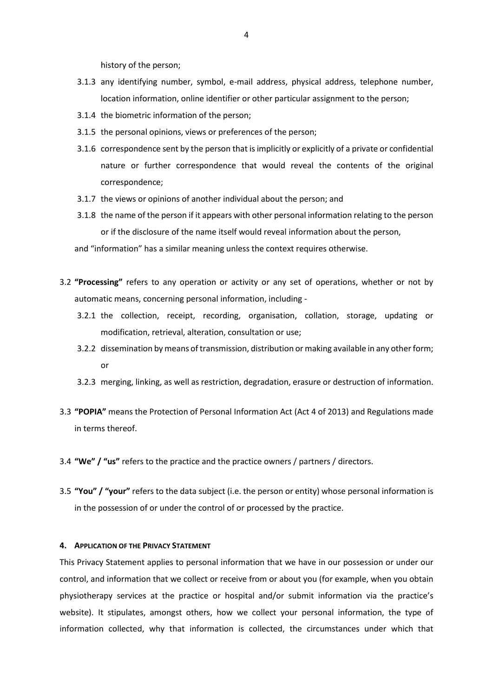history of the person;

- 3.1.3 any identifying number, symbol, e-mail address, physical address, telephone number, location information, online identifier or other particular assignment to the person;
- 3.1.4 the biometric information of the person;
- 3.1.5 the personal opinions, views or preferences of the person;
- 3.1.6 correspondence sent by the person that is implicitly or explicitly of a private or confidential nature or further correspondence that would reveal the contents of the original correspondence;
- 3.1.7 the views or opinions of another individual about the person; and
- 3.1.8 the name of the person if it appears with other personal information relating to the person or if the disclosure of the name itself would reveal information about the person,

and "information" has a similar meaning unless the context requires otherwise.

- 3.2 **"Processing"** refers to any operation or activity or any set of operations, whether or not by automatic means, concerning personal information, including -
	- 3.2.1 the collection, receipt, recording, organisation, collation, storage, updating or modification, retrieval, alteration, consultation or use;
	- 3.2.2 dissemination by means of transmission, distribution or making available in any other form; or
	- 3.2.3 merging, linking, as well as restriction, degradation, erasure or destruction of information.
- 3.3 **"POPIA"** means the Protection of Personal Information Act (Act 4 of 2013) and Regulations made in terms thereof.
- 3.4 **"We" / "us"** refers to the practice and the practice owners / partners / directors.
- 3.5 **"You" / "your"** refers to the data subject (i.e. the person or entity) whose personal information is in the possession of or under the control of or processed by the practice.

### <span id="page-3-0"></span>**4. APPLICATION OF THE PRIVACY STATEMENT**

This Privacy Statement applies to personal information that we have in our possession or under our control, and information that we collect or receive from or about you (for example, when you obtain physiotherapy services at the practice or hospital and/or submit information via the practice's website). It stipulates, amongst others, how we collect your personal information, the type of information collected, why that information is collected, the circumstances under which that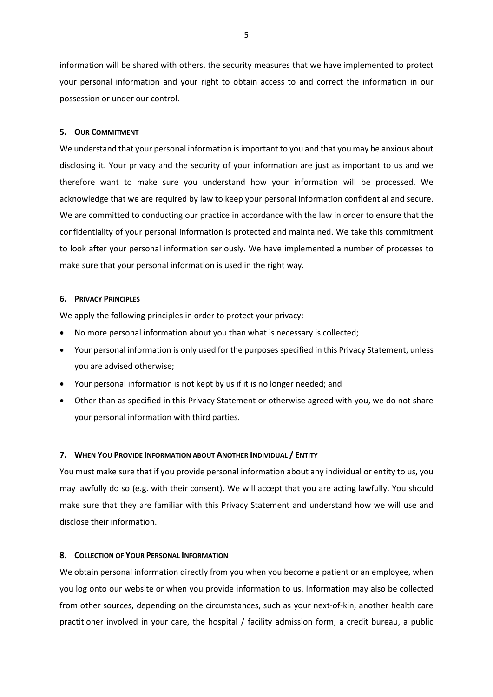information will be shared with others, the security measures that we have implemented to protect your personal information and your right to obtain access to and correct the information in our possession or under our control.

## <span id="page-4-0"></span>**5. OUR COMMITMENT**

We understand that your personal information is important to you and that you may be anxious about disclosing it. Your privacy and the security of your information are just as important to us and we therefore want to make sure you understand how your information will be processed. We acknowledge that we are required by law to keep your personal information confidential and secure. We are committed to conducting our practice in accordance with the law in order to ensure that the confidentiality of your personal information is protected and maintained. We take this commitment to look after your personal information seriously. We have implemented a number of processes to make sure that your personal information is used in the right way.

## <span id="page-4-1"></span>**6. PRIVACY PRINCIPLES**

We apply the following principles in order to protect your privacy:

- No more personal information about you than what is necessary is collected;
- Your personal information is only used for the purposes specified in this Privacy Statement, unless you are advised otherwise;
- Your personal information is not kept by us if it is no longer needed; and
- Other than as specified in this Privacy Statement or otherwise agreed with you, we do not share your personal information with third parties.

### <span id="page-4-2"></span>**7. WHEN YOU PROVIDE INFORMATION ABOUT ANOTHER INDIVIDUAL / ENTITY**

You must make sure that if you provide personal information about any individual or entity to us, you may lawfully do so (e.g. with their consent). We will accept that you are acting lawfully. You should make sure that they are familiar with this Privacy Statement and understand how we will use and disclose their information.

## <span id="page-4-3"></span>**8. COLLECTION OF YOUR PERSONAL INFORMATION**

We obtain personal information directly from you when you become a patient or an employee, when you log onto our website or when you provide information to us. Information may also be collected from other sources, depending on the circumstances, such as your next-of-kin, another health care practitioner involved in your care, the hospital / facility admission form, a credit bureau, a public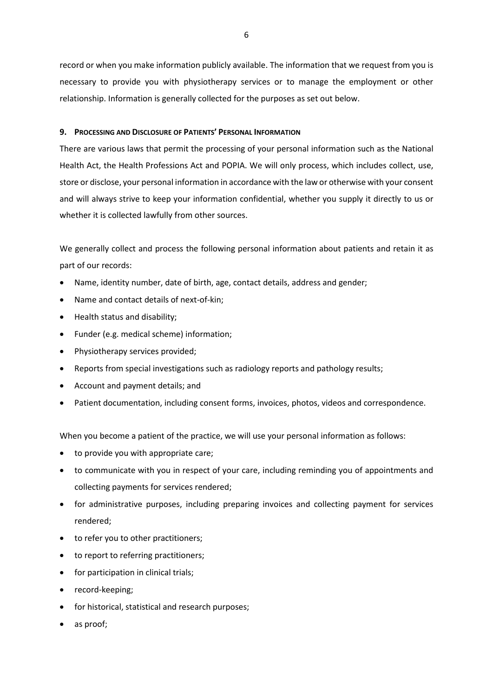record or when you make information publicly available. The information that we request from you is necessary to provide you with physiotherapy services or to manage the employment or other relationship. Information is generally collected for the purposes as set out below.

# <span id="page-5-0"></span>**9. PROCESSING AND DISCLOSURE OF PATIENTS' PERSONAL INFORMATION**

There are various laws that permit the processing of your personal information such as the National Health Act, the Health Professions Act and POPIA. We will only process, which includes collect, use, store or disclose, your personal information in accordance with the law or otherwise with your consent and will always strive to keep your information confidential, whether you supply it directly to us or whether it is collected lawfully from other sources.

We generally collect and process the following personal information about patients and retain it as part of our records:

- Name, identity number, date of birth, age, contact details, address and gender;
- Name and contact details of next-of-kin;
- Health status and disability;
- Funder (e.g. medical scheme) information;
- Physiotherapy services provided;
- Reports from special investigations such as radiology reports and pathology results;
- Account and payment details; and
- Patient documentation, including consent forms, invoices, photos, videos and correspondence.

When you become a patient of the practice, we will use your personal information as follows:

- to provide you with appropriate care;
- to communicate with you in respect of your care, including reminding you of appointments and collecting payments for services rendered;
- for administrative purposes, including preparing invoices and collecting payment for services rendered;
- to refer you to other practitioners;
- to report to referring practitioners;
- for participation in clinical trials;
- record-keeping;
- for historical, statistical and research purposes;
- as proof;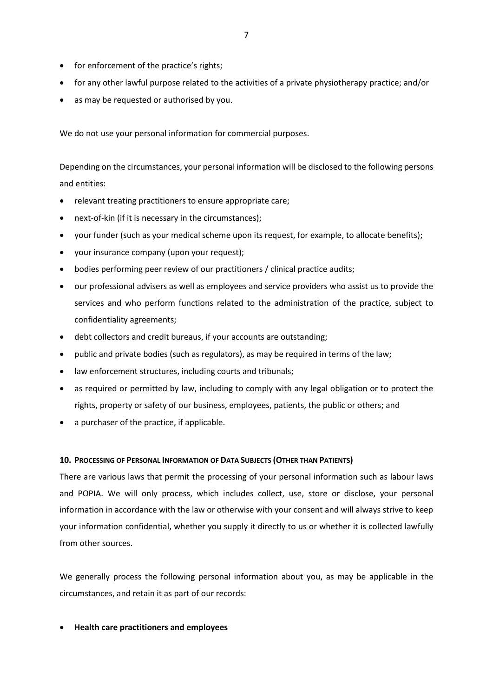- for enforcement of the practice's rights;
- for any other lawful purpose related to the activities of a private physiotherapy practice; and/or
- as may be requested or authorised by you.

We do not use your personal information for commercial purposes.

Depending on the circumstances, your personal information will be disclosed to the following persons and entities:

- relevant treating practitioners to ensure appropriate care;
- next-of-kin (if it is necessary in the circumstances);
- your funder (such as your medical scheme upon its request, for example, to allocate benefits);
- your insurance company (upon your request);
- bodies performing peer review of our practitioners / clinical practice audits;
- our professional advisers as well as employees and service providers who assist us to provide the services and who perform functions related to the administration of the practice, subject to confidentiality agreements;
- debt collectors and credit bureaus, if your accounts are outstanding;
- public and private bodies (such as regulators), as may be required in terms of the law;
- law enforcement structures, including courts and tribunals;
- as required or permitted by law, including to comply with any legal obligation or to protect the rights, property or safety of our business, employees, patients, the public or others; and
- a purchaser of the practice, if applicable.

# <span id="page-6-0"></span>**10. PROCESSING OF PERSONAL INFORMATION OF DATA SUBJECTS (OTHER THAN PATIENTS)**

There are various laws that permit the processing of your personal information such as labour laws and POPIA. We will only process, which includes collect, use, store or disclose, your personal information in accordance with the law or otherwise with your consent and will always strive to keep your information confidential, whether you supply it directly to us or whether it is collected lawfully from other sources.

We generally process the following personal information about you, as may be applicable in the circumstances, and retain it as part of our records:

**Health care practitioners and employees**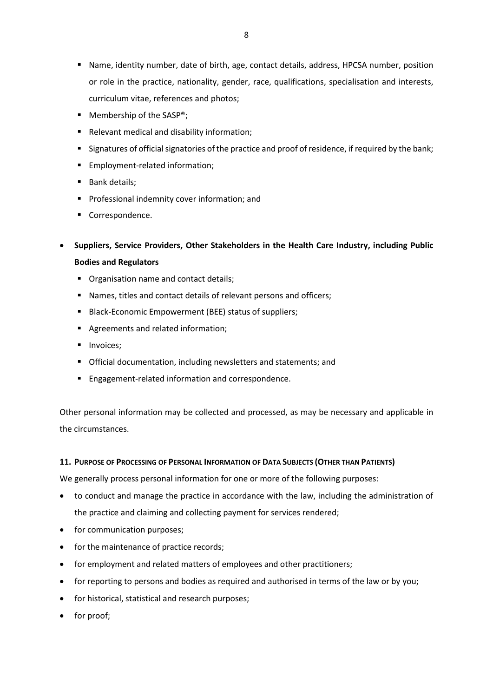- Name, identity number, date of birth, age, contact details, address, HPCSA number, position or role in the practice, nationality, gender, race, qualifications, specialisation and interests, curriculum vitae, references and photos;
- $\blacksquare$  Membership of the SASP®;
- Relevant medical and disability information;
- Signatures of official signatories of the practice and proof of residence, if required by the bank;
- **Employment-related information;**
- **Bank details;**
- **Professional indemnity cover information; and**
- Correspondence.
- **Suppliers, Service Providers, Other Stakeholders in the Health Care Industry, including Public Bodies and Regulators**
	- **Organisation name and contact details;**
	- Names, titles and contact details of relevant persons and officers;
	- **Black-Economic Empowerment (BEE) status of suppliers;**
	- Agreements and related information;
	- **Invoices**;
	- Official documentation, including newsletters and statements; and
	- **Engagement-related information and correspondence.**

Other personal information may be collected and processed, as may be necessary and applicable in the circumstances.

# <span id="page-7-0"></span>**11. PURPOSE OF PROCESSING OF PERSONAL INFORMATION OF DATA SUBJECTS (OTHER THAN PATIENTS)**

We generally process personal information for one or more of the following purposes:

- to conduct and manage the practice in accordance with the law, including the administration of the practice and claiming and collecting payment for services rendered;
- for communication purposes;
- for the maintenance of practice records;
- for employment and related matters of employees and other practitioners;
- for reporting to persons and bodies as required and authorised in terms of the law or by you;
- for historical, statistical and research purposes;
- for proof;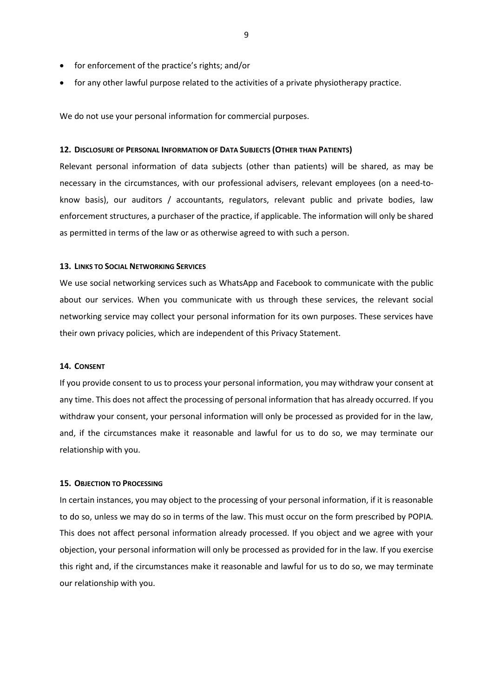- for enforcement of the practice's rights; and/or
- for any other lawful purpose related to the activities of a private physiotherapy practice.

We do not use your personal information for commercial purposes.

# <span id="page-8-0"></span>**12. DISCLOSURE OF PERSONAL INFORMATION OF DATA SUBJECTS (OTHER THAN PATIENTS)**

Relevant personal information of data subjects (other than patients) will be shared, as may be necessary in the circumstances, with our professional advisers, relevant employees (on a need-toknow basis), our auditors / accountants, regulators, relevant public and private bodies, law enforcement structures, a purchaser of the practice, if applicable. The information will only be shared as permitted in terms of the law or as otherwise agreed to with such a person.

# <span id="page-8-1"></span>**13. LINKS TO SOCIAL NETWORKING SERVICES**

We use social networking services such as WhatsApp and Facebook to communicate with the public about our services. When you communicate with us through these services, the relevant social networking service may collect your personal information for its own purposes. These services have their own privacy policies, which are independent of this Privacy Statement.

# <span id="page-8-2"></span>**14. CONSENT**

If you provide consent to us to process your personal information, you may withdraw your consent at any time. This does not affect the processing of personal information that has already occurred. If you withdraw your consent, your personal information will only be processed as provided for in the law, and, if the circumstances make it reasonable and lawful for us to do so, we may terminate our relationship with you.

## <span id="page-8-3"></span>**15. OBJECTION TO PROCESSING**

In certain instances, you may object to the processing of your personal information, if it is reasonable to do so, unless we may do so in terms of the law. This must occur on the form prescribed by POPIA. This does not affect personal information already processed. If you object and we agree with your objection, your personal information will only be processed as provided for in the law. If you exercise this right and, if the circumstances make it reasonable and lawful for us to do so, we may terminate our relationship with you.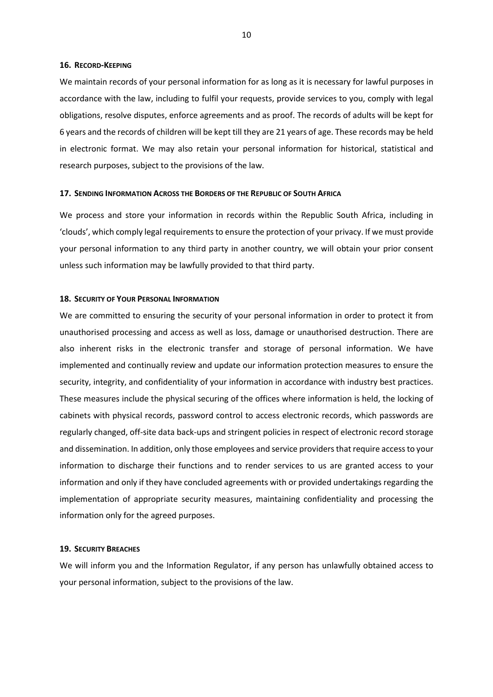## <span id="page-9-0"></span>**16. RECORD-KEEPING**

We maintain records of your personal information for as long as it is necessary for lawful purposes in accordance with the law, including to fulfil your requests, provide services to you, comply with legal obligations, resolve disputes, enforce agreements and as proof. The records of adults will be kept for 6 years and the records of children will be kept till they are 21 years of age. These records may be held in electronic format. We may also retain your personal information for historical, statistical and research purposes, subject to the provisions of the law.

#### <span id="page-9-1"></span>**17. SENDING INFORMATION ACROSS THE BORDERS OF THE REPUBLIC OF SOUTH AFRICA**

We process and store your information in records within the Republic South Africa, including in 'clouds', which comply legal requirements to ensure the protection of your privacy. If we must provide your personal information to any third party in another country, we will obtain your prior consent unless such information may be lawfully provided to that third party.

## <span id="page-9-2"></span>**18. SECURITY OF YOUR PERSONAL INFORMATION**

We are committed to ensuring the security of your personal information in order to protect it from unauthorised processing and access as well as loss, damage or unauthorised destruction. There are also inherent risks in the electronic transfer and storage of personal information. We have implemented and continually review and update our information protection measures to ensure the security, integrity, and confidentiality of your information in accordance with industry best practices. These measures include the physical securing of the offices where information is held, the locking of cabinets with physical records, password control to access electronic records, which passwords are regularly changed, off-site data back-ups and stringent policies in respect of electronic record storage and dissemination. In addition, only those employees and service providers that require access to your information to discharge their functions and to render services to us are granted access to your information and only if they have concluded agreements with or provided undertakings regarding the implementation of appropriate security measures, maintaining confidentiality and processing the information only for the agreed purposes.

## <span id="page-9-3"></span>**19. SECURITY BREACHES**

We will inform you and the Information Regulator, if any person has unlawfully obtained access to your personal information, subject to the provisions of the law.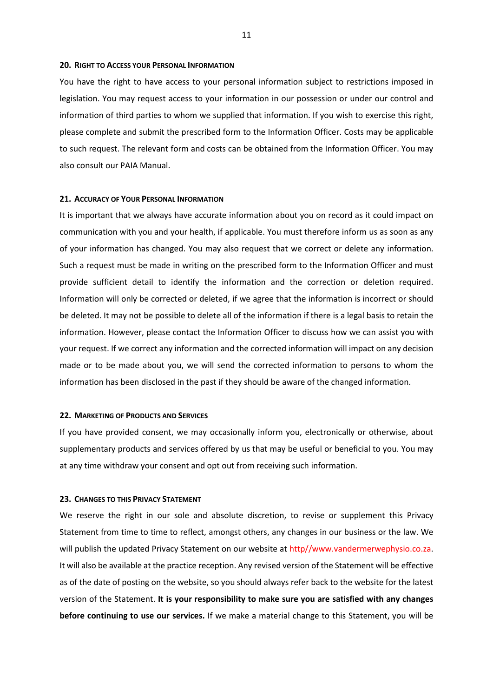#### <span id="page-10-0"></span>**20. RIGHT TO ACCESS YOUR PERSONAL INFORMATION**

You have the right to have access to your personal information subject to restrictions imposed in legislation. You may request access to your information in our possession or under our control and information of third parties to whom we supplied that information. If you wish to exercise this right, please complete and submit the prescribed form to the Information Officer. Costs may be applicable to such request. The relevant form and costs can be obtained from the Information Officer. You may also consult our PAIA Manual.

## <span id="page-10-1"></span>**21. ACCURACY OF YOUR PERSONAL INFORMATION**

It is important that we always have accurate information about you on record as it could impact on communication with you and your health, if applicable. You must therefore inform us as soon as any of your information has changed. You may also request that we correct or delete any information. Such a request must be made in writing on the prescribed form to the Information Officer and must provide sufficient detail to identify the information and the correction or deletion required. Information will only be corrected or deleted, if we agree that the information is incorrect or should be deleted. It may not be possible to delete all of the information if there is a legal basis to retain the information. However, please contact the Information Officer to discuss how we can assist you with your request. If we correct any information and the corrected information will impact on any decision made or to be made about you, we will send the corrected information to persons to whom the information has been disclosed in the past if they should be aware of the changed information.

## <span id="page-10-2"></span>**22. MARKETING OF PRODUCTS AND SERVICES**

If you have provided consent, we may occasionally inform you, electronically or otherwise, about supplementary products and services offered by us that may be useful or beneficial to you. You may at any time withdraw your consent and opt out from receiving such information.

#### <span id="page-10-3"></span>**23. CHANGES TO THIS PRIVACY STATEMENT**

We reserve the right in our sole and absolute discretion, to revise or supplement this Privacy Statement from time to time to reflect, amongst others, any changes in our business or the law. We will publish the updated Privacy Statement on our website at http//www.vandermerwephysio.co.za. It will also be available at the practice reception. Any revised version of the Statement will be effective as of the date of posting on the website, so you should always refer back to the website for the latest version of the Statement. **It is your responsibility to make sure you are satisfied with any changes before continuing to use our services.** If we make a material change to this Statement, you will be

11